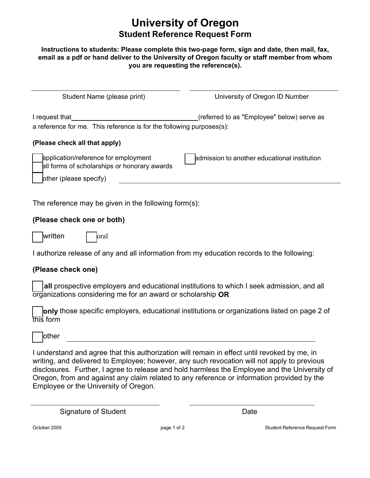# **University of Oregon Student Reference Request Form**

#### **Instructions to students: Please complete this two-page form, sign and date, then mail, fax, email as a pdf or hand deliver to the University of Oregon faculty or staff member from whom you are requesting the reference(s).**

| Student Name (please print)                                                                                    | University of Oregon ID Number               |
|----------------------------------------------------------------------------------------------------------------|----------------------------------------------|
| I request that<br>a reference for me. This reference is for the following purposes(s):                         | (referred to as "Employee" below) serve as   |
| (Please check all that apply)                                                                                  |                                              |
| application/reference for employment<br>all forms of scholarships or honorary awards<br>other (please specify) | admission to another educational institution |

The reference may be given in the following form(s):

#### **(Please check one or both)**

written | oral

I authorize release of any and all information from my education records to the following:

### **(Please check one)**

 **all** prospective employers and educational institutions to which I seek admission, and all organizations considering me for an award or scholarship **OR** 

 **only** those specific employers, educational institutions or organizations listed on page 2 of this form

other

 disclosures. Further, I agree to release and hold harmless the Employee and the University of Oregon, from and against any claim related to any reference or information provided by the Employee or the University of Oregon. I understand and agree that this authorization will remain in effect until revoked by me, in writing, and delivered to Employee; however, any such revocation will not apply to previous

Signature of Student  $\qquad \qquad$  Date

October 2005